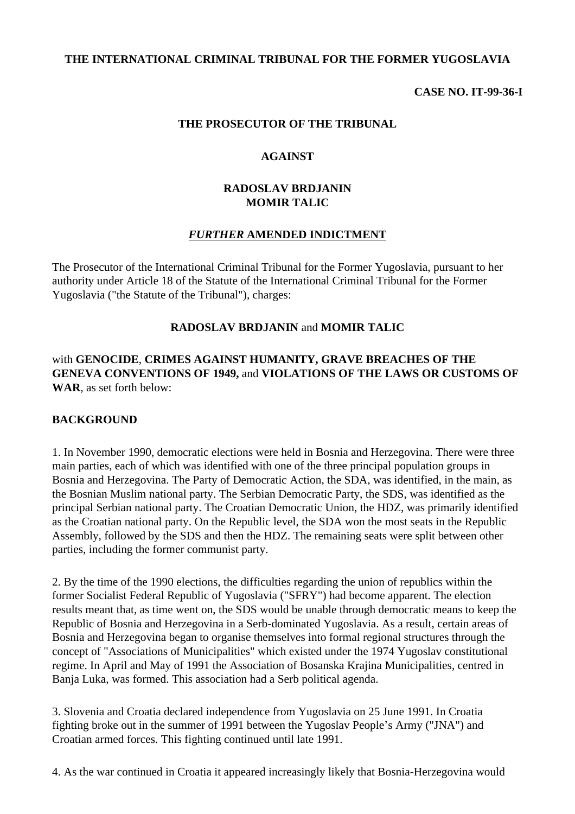## **THE INTERNATIONAL CRIMINAL TRIBUNAL FOR THE FORMER YUGOSLAVIA**

**CASE NO. IT-99-36-I**

#### **THE PROSECUTOR OF THE TRIBUNAL**

#### **AGAINST**

## **RADOSLAV BRDJANIN MOMIR TALIC**

### *FURTHER* **AMENDED INDICTMENT**

The Prosecutor of the International Criminal Tribunal for the Former Yugoslavia, pursuant to her authority under Article 18 of the Statute of the International Criminal Tribunal for the Former Yugoslavia ("the Statute of the Tribunal"), charges:

### **RADOSLAV BRDJANIN** and **MOMIR TALIC**

with **GENOCIDE**, **CRIMES AGAINST HUMANITY, GRAVE BREACHES OF THE GENEVA CONVENTIONS OF 1949,** and **VIOLATIONS OF THE LAWS OR CUSTOMS OF WAR**, as set forth below:

#### **BACKGROUND**

1. In November 1990, democratic elections were held in Bosnia and Herzegovina. There were three main parties, each of which was identified with one of the three principal population groups in Bosnia and Herzegovina. The Party of Democratic Action, the SDA, was identified, in the main, as the Bosnian Muslim national party. The Serbian Democratic Party, the SDS, was identified as the principal Serbian national party. The Croatian Democratic Union, the HDZ, was primarily identified as the Croatian national party. On the Republic level, the SDA won the most seats in the Republic Assembly, followed by the SDS and then the HDZ. The remaining seats were split between other parties, including the former communist party.

2. By the time of the 1990 elections, the difficulties regarding the union of republics within the former Socialist Federal Republic of Yugoslavia ("SFRY") had become apparent. The election results meant that, as time went on, the SDS would be unable through democratic means to keep the Republic of Bosnia and Herzegovina in a Serb-dominated Yugoslavia. As a result, certain areas of Bosnia and Herzegovina began to organise themselves into formal regional structures through the concept of "Associations of Municipalities" which existed under the 1974 Yugoslav constitutional regime. In April and May of 1991 the Association of Bosanska Krajina Municipalities, centred in Banja Luka, was formed. This association had a Serb political agenda.

3. Slovenia and Croatia declared independence from Yugoslavia on 25 June 1991. In Croatia fighting broke out in the summer of 1991 between the Yugoslav People's Army ("JNA") and Croatian armed forces. This fighting continued until late 1991.

4. As the war continued in Croatia it appeared increasingly likely that Bosnia-Herzegovina would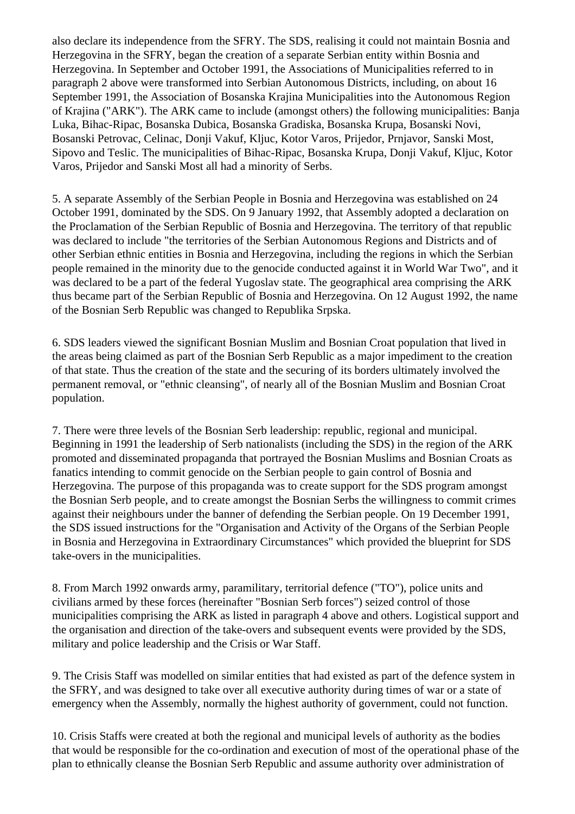also declare its independence from the SFRY. The SDS, realising it could not maintain Bosnia and Herzegovina in the SFRY, began the creation of a separate Serbian entity within Bosnia and Herzegovina. In September and October 1991, the Associations of Municipalities referred to in paragraph 2 above were transformed into Serbian Autonomous Districts, including, on about 16 September 1991, the Association of Bosanska Krajina Municipalities into the Autonomous Region of Krajina ("ARK"). The ARK came to include (amongst others) the following municipalities: Banja Luka, Bihac-Ripac, Bosanska Dubica, Bosanska Gradiska, Bosanska Krupa, Bosanski Novi, Bosanski Petrovac, Celinac, Donji Vakuf, Kljuc, Kotor Varos, Prijedor, Prnjavor, Sanski Most, Sipovo and Teslic. The municipalities of Bihac-Ripac, Bosanska Krupa, Donji Vakuf, Kljuc, Kotor Varos, Prijedor and Sanski Most all had a minority of Serbs.

5. A separate Assembly of the Serbian People in Bosnia and Herzegovina was established on 24 October 1991, dominated by the SDS. On 9 January 1992, that Assembly adopted a declaration on the Proclamation of the Serbian Republic of Bosnia and Herzegovina. The territory of that republic was declared to include "the territories of the Serbian Autonomous Regions and Districts and of other Serbian ethnic entities in Bosnia and Herzegovina, including the regions in which the Serbian people remained in the minority due to the genocide conducted against it in World War Two", and it was declared to be a part of the federal Yugoslav state. The geographical area comprising the ARK thus became part of the Serbian Republic of Bosnia and Herzegovina. On 12 August 1992, the name of the Bosnian Serb Republic was changed to Republika Srpska.

6. SDS leaders viewed the significant Bosnian Muslim and Bosnian Croat population that lived in the areas being claimed as part of the Bosnian Serb Republic as a major impediment to the creation of that state. Thus the creation of the state and the securing of its borders ultimately involved the permanent removal, or "ethnic cleansing", of nearly all of the Bosnian Muslim and Bosnian Croat population.

7. There were three levels of the Bosnian Serb leadership: republic, regional and municipal. Beginning in 1991 the leadership of Serb nationalists (including the SDS) in the region of the ARK promoted and disseminated propaganda that portrayed the Bosnian Muslims and Bosnian Croats as fanatics intending to commit genocide on the Serbian people to gain control of Bosnia and Herzegovina. The purpose of this propaganda was to create support for the SDS program amongst the Bosnian Serb people, and to create amongst the Bosnian Serbs the willingness to commit crimes against their neighbours under the banner of defending the Serbian people. On 19 December 1991, the SDS issued instructions for the "Organisation and Activity of the Organs of the Serbian People in Bosnia and Herzegovina in Extraordinary Circumstances" which provided the blueprint for SDS take-overs in the municipalities.

8. From March 1992 onwards army, paramilitary, territorial defence ("TO"), police units and civilians armed by these forces (hereinafter "Bosnian Serb forces") seized control of those municipalities comprising the ARK as listed in paragraph 4 above and others. Logistical support and the organisation and direction of the take-overs and subsequent events were provided by the SDS, military and police leadership and the Crisis or War Staff.

9. The Crisis Staff was modelled on similar entities that had existed as part of the defence system in the SFRY, and was designed to take over all executive authority during times of war or a state of emergency when the Assembly, normally the highest authority of government, could not function.

10. Crisis Staffs were created at both the regional and municipal levels of authority as the bodies that would be responsible for the co-ordination and execution of most of the operational phase of the plan to ethnically cleanse the Bosnian Serb Republic and assume authority over administration of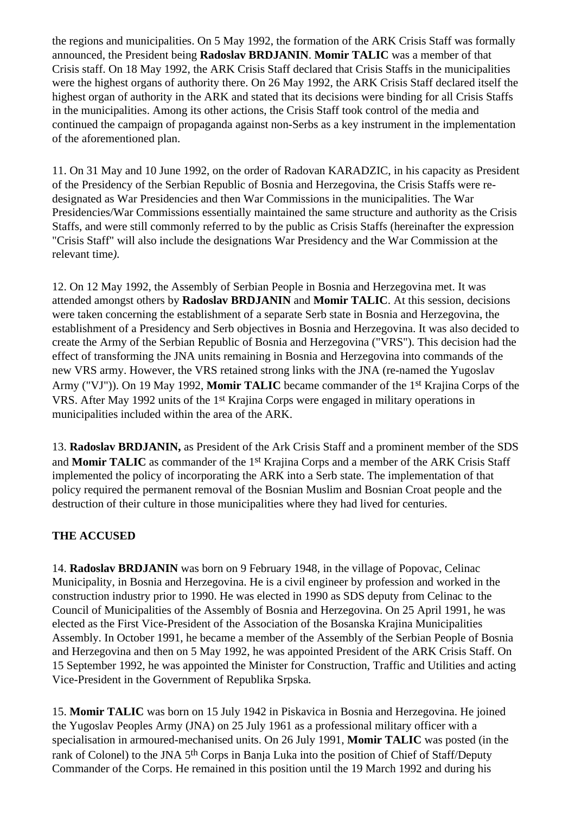the regions and municipalities. On 5 May 1992, the formation of the ARK Crisis Staff was formally announced, the President being **Radoslav BRDJANIN**. **Momir TALIC** was a member of that Crisis staff. On 18 May 1992, the ARK Crisis Staff declared that Crisis Staffs in the municipalities were the highest organs of authority there. On 26 May 1992, the ARK Crisis Staff declared itself the highest organ of authority in the ARK and stated that its decisions were binding for all Crisis Staffs in the municipalities. Among its other actions, the Crisis Staff took control of the media and continued the campaign of propaganda against non-Serbs as a key instrument in the implementation of the aforementioned plan.

11. On 31 May and 10 June 1992, on the order of Radovan KARADZIC, in his capacity as President of the Presidency of the Serbian Republic of Bosnia and Herzegovina, the Crisis Staffs were redesignated as War Presidencies and then War Commissions in the municipalities. The War Presidencies/War Commissions essentially maintained the same structure and authority as the Crisis Staffs, and were still commonly referred to by the public as Crisis Staffs (hereinafter the expression "Crisis Staff" will also include the designations War Presidency and the War Commission at the relevant time*).*

12. On 12 May 1992, the Assembly of Serbian People in Bosnia and Herzegovina met. It was attended amongst others by **Radoslav BRDJANIN** and **Momir TALIC**. At this session, decisions were taken concerning the establishment of a separate Serb state in Bosnia and Herzegovina, the establishment of a Presidency and Serb objectives in Bosnia and Herzegovina. It was also decided to create the Army of the Serbian Republic of Bosnia and Herzegovina ("VRS"). This decision had the effect of transforming the JNA units remaining in Bosnia and Herzegovina into commands of the new VRS army. However, the VRS retained strong links with the JNA (re-named the Yugoslav Army ("VJ")). On 19 May 1992, **Momir TALIC** became commander of the 1st Krajina Corps of the VRS. After May 1992 units of the 1st Krajina Corps were engaged in military operations in municipalities included within the area of the ARK.

13. **Radoslav BRDJANIN,** as President of the Ark Crisis Staff and a prominent member of the SDS and **Momir TALIC** as commander of the 1st Krajina Corps and a member of the ARK Crisis Staff implemented the policy of incorporating the ARK into a Serb state. The implementation of that policy required the permanent removal of the Bosnian Muslim and Bosnian Croat people and the destruction of their culture in those municipalities where they had lived for centuries.

# **THE ACCUSED**

14. **Radoslav BRDJANIN** was born on 9 February 1948, in the village of Popovac, Celinac Municipality, in Bosnia and Herzegovina. He is a civil engineer by profession and worked in the construction industry prior to 1990. He was elected in 1990 as SDS deputy from Celinac to the Council of Municipalities of the Assembly of Bosnia and Herzegovina. On 25 April 1991, he was elected as the First Vice-President of the Association of the Bosanska Krajina Municipalities Assembly. In October 1991, he became a member of the Assembly of the Serbian People of Bosnia and Herzegovina and then on 5 May 1992, he was appointed President of the ARK Crisis Staff. On 15 September 1992, he was appointed the Minister for Construction, Traffic and Utilities and acting Vice-President in the Government of Republika Srpska*.*

15. **Momir TALIC** was born on 15 July 1942 in Piskavica in Bosnia and Herzegovina. He joined the Yugoslav Peoples Army (JNA) on 25 July 1961 as a professional military officer with a specialisation in armoured-mechanised units. On 26 July 1991, **Momir TALIC** was posted (in the rank of Colonel) to the JNA 5<sup>th</sup> Corps in Banja Luka into the position of Chief of Staff/Deputy Commander of the Corps. He remained in this position until the 19 March 1992 and during his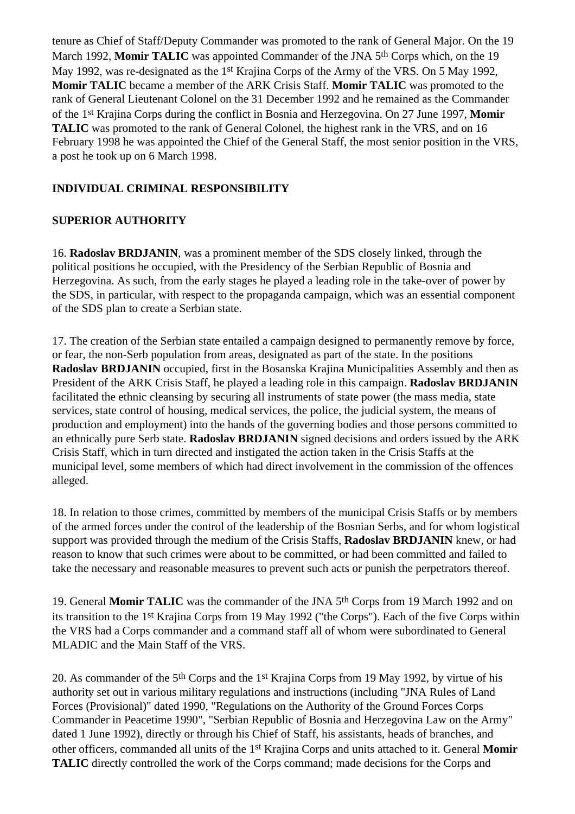tenure as Chief of Staff/Deputy Commander was promoted to the rank of General Major. On the 19 March 1992, **Momir TALIC** was appointed Commander of the JNA 5th Corps which, on the 19 May 1992, was re-designated as the 1<sup>st</sup> Krajina Corps of the Army of the VRS. On 5 May 1992, **Momir TALIC** became a member of the ARK Crisis Staff. **Momir TALIC** was promoted to the rank of General Lieutenant Colonel on the 31 December 1992 and he remained as the Commander of the 1st Krajina Corps during the conflict in Bosnia and Herzegovina. On 27 June 1997, **Momir TALIC** was promoted to the rank of General Colonel, the highest rank in the VRS, and on 16 February 1998 he was appointed the Chief of the General Staff, the most senior position in the VRS, a post he took up on 6 March 1998.

# **INDIVIDUAL CRIMINAL RESPONSIBILITY**

# **SUPERIOR AUTHORITY**

16. **Radoslav BRDJANIN**, was a prominent member of the SDS closely linked, through the political positions he occupied, with the Presidency of the Serbian Republic of Bosnia and Herzegovina. As such, from the early stages he played a leading role in the take-over of power by the SDS, in particular, with respect to the propaganda campaign, which was an essential component of the SDS plan to create a Serbian state.

17. The creation of the Serbian state entailed a campaign designed to permanently remove by force, or fear, the non-Serb population from areas, designated as part of the state. In the positions **Radoslav BRDJANIN** occupied, first in the Bosanska Krajina Municipalities Assembly and then as President of the ARK Crisis Staff, he played a leading role in this campaign. **Radoslav BRDJANIN** facilitated the ethnic cleansing by securing all instruments of state power (the mass media, state services, state control of housing, medical services, the police, the judicial system, the means of production and employment) into the hands of the governing bodies and those persons committed to an ethnically pure Serb state. **Radoslav BRDJANIN** signed decisions and orders issued by the ARK Crisis Staff, which in turn directed and instigated the action taken in the Crisis Staffs at the municipal level, some members of which had direct involvement in the commission of the offences alleged.

18. In relation to those crimes, committed by members of the municipal Crisis Staffs or by members of the armed forces under the control of the leadership of the Bosnian Serbs, and for whom logistical support was provided through the medium of the Crisis Staffs, **Radoslav BRDJANIN** knew, or had reason to know that such crimes were about to be committed, or had been committed and failed to take the necessary and reasonable measures to prevent such acts or punish the perpetrators thereof.

19. General **Momir TALIC** was the commander of the JNA 5th Corps from 19 March 1992 and on its transition to the 1st Krajina Corps from 19 May 1992 ("the Corps"). Each of the five Corps within the VRS had a Corps commander and a command staff all of whom were subordinated to General MLADIC and the Main Staff of the VRS.

20. As commander of the 5th Corps and the 1st Krajina Corps from 19 May 1992, by virtue of his authority set out in various military regulations and instructions (including "JNA Rules of Land Forces (Provisional)" dated 1990, "Regulations on the Authority of the Ground Forces Corps Commander in Peacetime 1990", "Serbian Republic of Bosnia and Herzegovina Law on the Army" dated 1 June 1992), directly or through his Chief of Staff, his assistants, heads of branches, and other officers, commanded all units of the 1st Krajina Corps and units attached to it. General **Momir TALIC** directly controlled the work of the Corps command; made decisions for the Corps and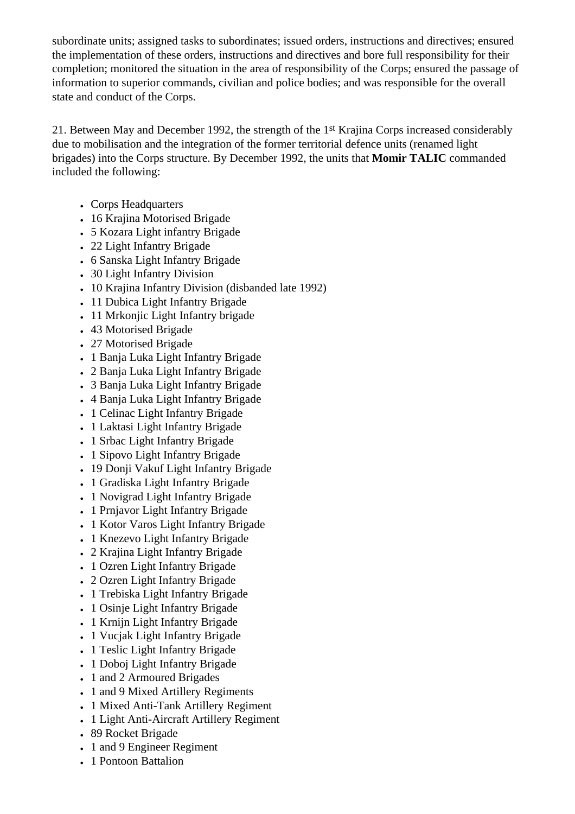subordinate units; assigned tasks to subordinates; issued orders, instructions and directives; ensured the implementation of these orders, instructions and directives and bore full responsibility for their completion; monitored the situation in the area of responsibility of the Corps; ensured the passage of information to superior commands, civilian and police bodies; and was responsible for the overall state and conduct of the Corps.

21. Between May and December 1992, the strength of the 1st Krajina Corps increased considerably due to mobilisation and the integration of the former territorial defence units (renamed light brigades) into the Corps structure. By December 1992, the units that **Momir TALIC** commanded included the following:

- Corps Headquarters
- 16 Krajina Motorised Brigade
- 5 Kozara Light infantry Brigade
- 22 Light Infantry Brigade
- 6 Sanska Light Infantry Brigade
- 30 Light Infantry Division
- 10 Krajina Infantry Division (disbanded late 1992)
- 11 Dubica Light Infantry Brigade
- 11 Mrkonjic Light Infantry brigade
- 43 Motorised Brigade
- 27 Motorised Brigade
- 1 Banja Luka Light Infantry Brigade
- 2 Banja Luka Light Infantry Brigade
- 3 Banja Luka Light Infantry Brigade
- 4 Banja Luka Light Infantry Brigade
- 1 Celinac Light Infantry Brigade
- 1 Laktasi Light Infantry Brigade
- 1 Srbac Light Infantry Brigade
- 1 Sipovo Light Infantry Brigade
- 19 Donji Vakuf Light Infantry Brigade
- 1 Gradiska Light Infantry Brigade
- 1 Novigrad Light Infantry Brigade
- 1 Prnjavor Light Infantry Brigade
- 1 Kotor Varos Light Infantry Brigade
- 1 Knezevo Light Infantry Brigade
- 2 Krajina Light Infantry Brigade
- 1 Ozren Light Infantry Brigade
- 2 Ozren Light Infantry Brigade
- 1 Trebiska Light Infantry Brigade
- 1 Osinje Light Infantry Brigade
- 1 Krnijn Light Infantry Brigade
- 1 Vucjak Light Infantry Brigade
- 1 Teslic Light Infantry Brigade
- 1 Doboj Light Infantry Brigade
- 1 and 2 Armoured Brigades
- 1 and 9 Mixed Artillery Regiments
- 1 Mixed Anti-Tank Artillery Regiment
- 1 Light Anti-Aircraft Artillery Regiment
- 89 Rocket Brigade
- 1 and 9 Engineer Regiment
- 1 Pontoon Battalion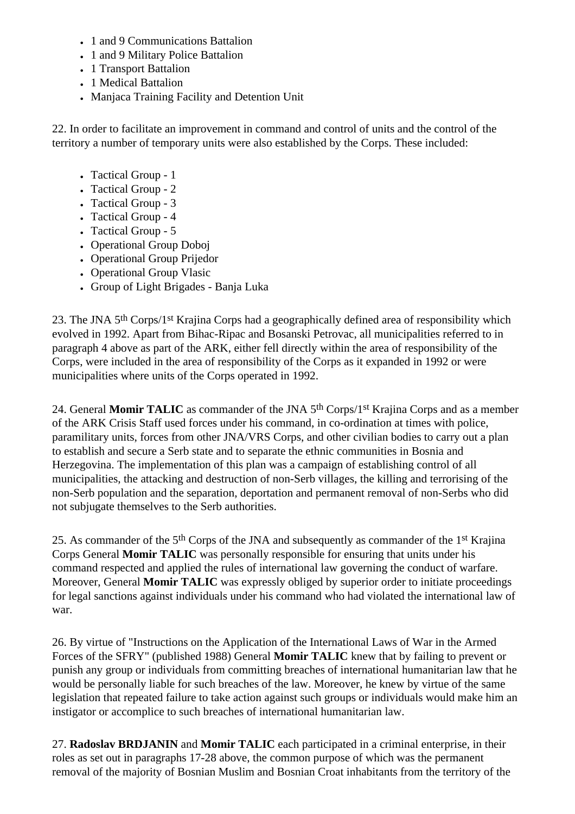- 1 and 9 Communications Battalion
- 1 and 9 Military Police Battalion
- 1 Transport Battalion
- 1 Medical Battalion
- Manjaca Training Facility and Detention Unit

22. In order to facilitate an improvement in command and control of units and the control of the territory a number of temporary units were also established by the Corps. These included:

- Tactical Group 1
- Tactical Group 2
- Tactical Group 3
- Tactical Group 4
- Tactical Group 5
- Operational Group Doboj
- Operational Group Prijedor
- Operational Group Vlasic
- Group of Light Brigades Banja Luka

23. The JNA 5th Corps/1st Krajina Corps had a geographically defined area of responsibility which evolved in 1992. Apart from Bihac-Ripac and Bosanski Petrovac, all municipalities referred to in paragraph 4 above as part of the ARK, either fell directly within the area of responsibility of the Corps, were included in the area of responsibility of the Corps as it expanded in 1992 or were municipalities where units of the Corps operated in 1992.

24. General **Momir TALIC** as commander of the JNA 5th Corps/1st Krajina Corps and as a member of the ARK Crisis Staff used forces under his command, in co-ordination at times with police, paramilitary units, forces from other JNA/VRS Corps, and other civilian bodies to carry out a plan to establish and secure a Serb state and to separate the ethnic communities in Bosnia and Herzegovina. The implementation of this plan was a campaign of establishing control of all municipalities, the attacking and destruction of non-Serb villages, the killing and terrorising of the non-Serb population and the separation, deportation and permanent removal of non-Serbs who did not subjugate themselves to the Serb authorities.

25. As commander of the 5th Corps of the JNA and subsequently as commander of the 1st Krajina Corps General **Momir TALIC** was personally responsible for ensuring that units under his command respected and applied the rules of international law governing the conduct of warfare. Moreover, General **Momir TALIC** was expressly obliged by superior order to initiate proceedings for legal sanctions against individuals under his command who had violated the international law of war.

26. By virtue of "Instructions on the Application of the International Laws of War in the Armed Forces of the SFRY" (published 1988) General **Momir TALIC** knew that by failing to prevent or punish any group or individuals from committing breaches of international humanitarian law that he would be personally liable for such breaches of the law. Moreover, he knew by virtue of the same legislation that repeated failure to take action against such groups or individuals would make him an instigator or accomplice to such breaches of international humanitarian law.

27. **Radoslav BRDJANIN** and **Momir TALIC** each participated in a criminal enterprise, in their roles as set out in paragraphs 17-28 above, the common purpose of which was the permanent removal of the majority of Bosnian Muslim and Bosnian Croat inhabitants from the territory of the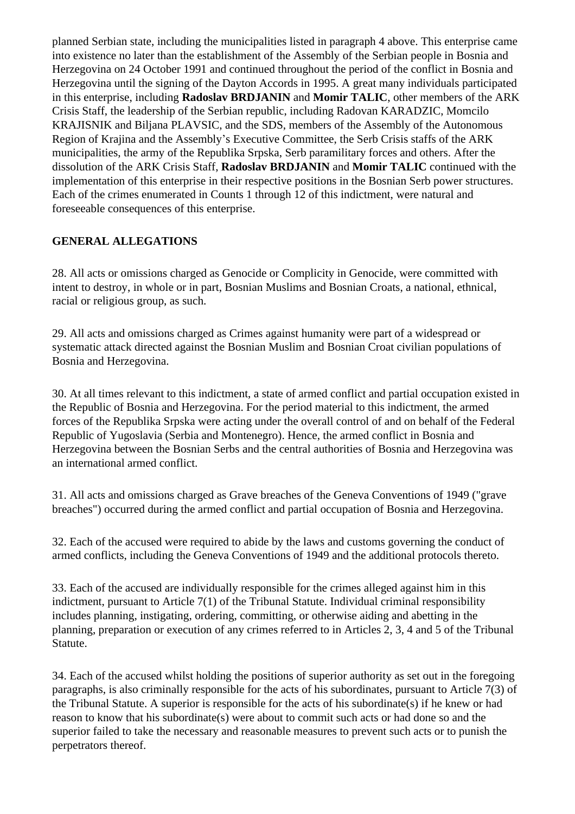planned Serbian state, including the municipalities listed in paragraph 4 above. This enterprise came into existence no later than the establishment of the Assembly of the Serbian people in Bosnia and Herzegovina on 24 October 1991 and continued throughout the period of the conflict in Bosnia and Herzegovina until the signing of the Dayton Accords in 1995. A great many individuals participated in this enterprise, including **Radoslav BRDJANIN** and **Momir TALIC**, other members of the ARK Crisis Staff, the leadership of the Serbian republic, including Radovan KARADZIC, Momcilo KRAJISNIK and Biljana PLAVSIC, and the SDS, members of the Assembly of the Autonomous Region of Krajina and the Assembly's Executive Committee, the Serb Crisis staffs of the ARK municipalities, the army of the Republika Srpska, Serb paramilitary forces and others. After the dissolution of the ARK Crisis Staff, **Radoslav BRDJANIN** and **Momir TALIC** continued with the implementation of this enterprise in their respective positions in the Bosnian Serb power structures. Each of the crimes enumerated in Counts 1 through 12 of this indictment, were natural and foreseeable consequences of this enterprise.

# **GENERAL ALLEGATIONS**

28. All acts or omissions charged as Genocide or Complicity in Genocide, were committed with intent to destroy, in whole or in part, Bosnian Muslims and Bosnian Croats, a national, ethnical, racial or religious group, as such.

29. All acts and omissions charged as Crimes against humanity were part of a widespread or systematic attack directed against the Bosnian Muslim and Bosnian Croat civilian populations of Bosnia and Herzegovina.

30. At all times relevant to this indictment, a state of armed conflict and partial occupation existed in the Republic of Bosnia and Herzegovina. For the period material to this indictment, the armed forces of the Republika Srpska were acting under the overall control of and on behalf of the Federal Republic of Yugoslavia (Serbia and Montenegro). Hence, the armed conflict in Bosnia and Herzegovina between the Bosnian Serbs and the central authorities of Bosnia and Herzegovina was an international armed conflict.

31. All acts and omissions charged as Grave breaches of the Geneva Conventions of 1949 ("grave breaches") occurred during the armed conflict and partial occupation of Bosnia and Herzegovina.

32. Each of the accused were required to abide by the laws and customs governing the conduct of armed conflicts, including the Geneva Conventions of 1949 and the additional protocols thereto.

33. Each of the accused are individually responsible for the crimes alleged against him in this indictment, pursuant to Article 7(1) of the Tribunal Statute. Individual criminal responsibility includes planning, instigating, ordering, committing, or otherwise aiding and abetting in the planning, preparation or execution of any crimes referred to in Articles 2, 3, 4 and 5 of the Tribunal Statute.

34. Each of the accused whilst holding the positions of superior authority as set out in the foregoing paragraphs, is also criminally responsible for the acts of his subordinates, pursuant to Article 7(3) of the Tribunal Statute. A superior is responsible for the acts of his subordinate(s) if he knew or had reason to know that his subordinate(s) were about to commit such acts or had done so and the superior failed to take the necessary and reasonable measures to prevent such acts or to punish the perpetrators thereof.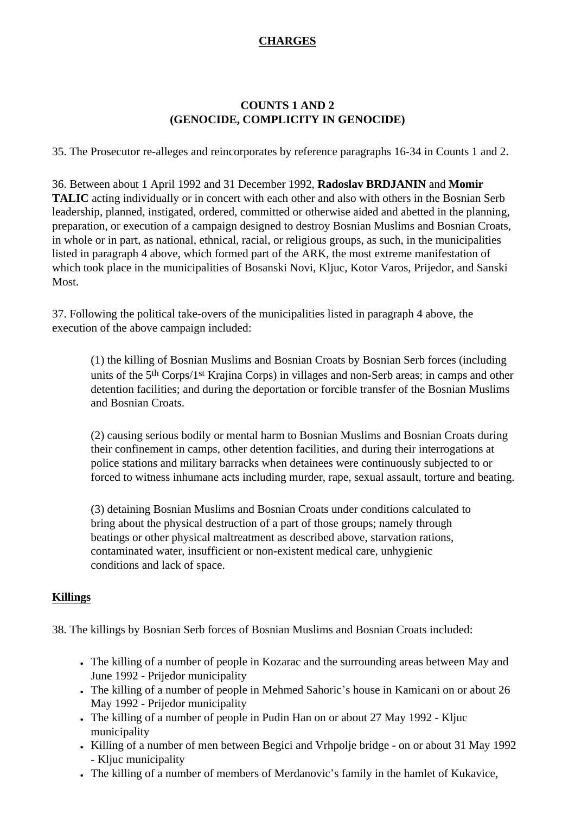# **CHARGES**

## **COUNTS 1 AND 2 (GENOCIDE, COMPLICITY IN GENOCIDE)**

35. The Prosecutor re-alleges and reincorporates by reference paragraphs 16-34 in Counts 1 and 2.

36. Between about 1 April 1992 and 31 December 1992, **Radoslav BRDJANIN** and **Momir TALIC** acting individually or in concert with each other and also with others in the Bosnian Serb leadership, planned, instigated, ordered, committed or otherwise aided and abetted in the planning, preparation, or execution of a campaign designed to destroy Bosnian Muslims and Bosnian Croats, in whole or in part, as national, ethnical, racial, or religious groups, as such, in the municipalities listed in paragraph 4 above, which formed part of the ARK, the most extreme manifestation of which took place in the municipalities of Bosanski Novi, Kljuc, Kotor Varos, Prijedor, and Sanski Most.

37. Following the political take-overs of the municipalities listed in paragraph 4 above, the execution of the above campaign included:

(1) the killing of Bosnian Muslims and Bosnian Croats by Bosnian Serb forces (including units of the 5th Corps/1st Krajina Corps) in villages and non-Serb areas; in camps and other detention facilities; and during the deportation or forcible transfer of the Bosnian Muslims and Bosnian Croats.

(2) causing serious bodily or mental harm to Bosnian Muslims and Bosnian Croats during their confinement in camps, other detention facilities, and during their interrogations at police stations and military barracks when detainees were continuously subjected to or forced to witness inhumane acts including murder, rape, sexual assault, torture and beating.

(3) detaining Bosnian Muslims and Bosnian Croats under conditions calculated to bring about the physical destruction of a part of those groups; namely through beatings or other physical maltreatment as described above, starvation rations, contaminated water, insufficient or non-existent medical care, unhygienic conditions and lack of space.

# **Killings**

38. The killings by Bosnian Serb forces of Bosnian Muslims and Bosnian Croats included:

- The killing of a number of people in Kozarac and the surrounding areas between May and June 1992 - Prijedor municipality
- The killing of a number of people in Mehmed Sahoric's house in Kamicani on or about 26 May 1992 - Prijedor municipality
- The killing of a number of people in Pudin Han on or about 27 May 1992 Kliuc municipality
- Killing of a number of men between Begici and Vrhpolje bridge on or about 31 May 1992 - Kljuc municipality
- The killing of a number of members of Merdanovic's family in the hamlet of Kukavice,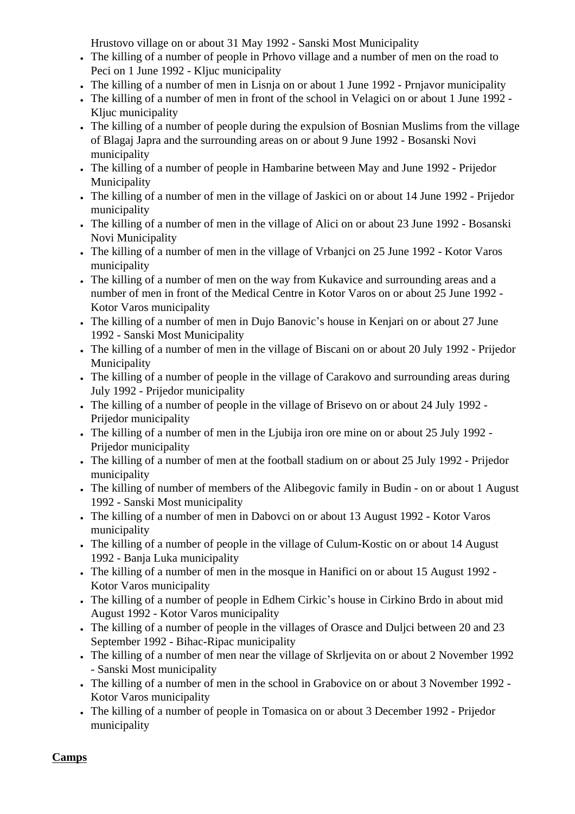Hrustovo village on or about 31 May 1992 - Sanski Most Municipality

- The killing of a number of people in Prhovo village and a number of men on the road to Peci on 1 June 1992 - Kljuc municipality
- The killing of a number of men in Lisnja on or about 1 June 1992 Prnjavor municipality
- The killing of a number of men in front of the school in Velagici on or about 1 June 1992 Kljuc municipality
- The killing of a number of people during the expulsion of Bosnian Muslims from the village of Blagaj Japra and the surrounding areas on or about 9 June 1992 - Bosanski Novi municipality
- The killing of a number of people in Hambarine between May and June 1992 Prijedor Municipality
- The killing of a number of men in the village of Jaskici on or about 14 June 1992 Prijedor municipality
- The killing of a number of men in the village of Alici on or about 23 June 1992 Bosanski Novi Municipality
- The killing of a number of men in the village of Vrbanjci on 25 June 1992 Kotor Varos municipality
- The killing of a number of men on the way from Kukavice and surrounding areas and a number of men in front of the Medical Centre in Kotor Varos on or about 25 June 1992 - Kotor Varos municipality
- The killing of a number of men in Dujo Banovic's house in Kenjari on or about 27 June 1992 - Sanski Most Municipality
- The killing of a number of men in the village of Biscani on or about 20 July 1992 Prijedor Municipality
- The killing of a number of people in the village of Carakovo and surrounding areas during July 1992 - Prijedor municipality
- The killing of a number of people in the village of Brisevo on or about 24 July 1992 Prijedor municipality
- The killing of a number of men in the Ljubija iron ore mine on or about 25 July 1992 -Prijedor municipality
- The killing of a number of men at the football stadium on or about 25 July 1992 Prijedor municipality
- The killing of number of members of the Alibegovic family in Budin on or about 1 August 1992 - Sanski Most municipality
- The killing of a number of men in Dabovci on or about 13 August 1992 Kotor Varos municipality
- The killing of a number of people in the village of Culum-Kostic on or about 14 August 1992 - Banja Luka municipality
- The killing of a number of men in the mosque in Hanifici on or about 15 August 1992 -Kotor Varos municipality
- The killing of a number of people in Edhem Cirkic's house in Cirkino Brdo in about mid August 1992 - Kotor Varos municipality
- The killing of a number of people in the villages of Orasce and Duljci between 20 and 23 September 1992 - Bihac-Ripac municipality
- The killing of a number of men near the village of Skrljevita on or about 2 November 1992 - Sanski Most municipality
- The killing of a number of men in the school in Grabovice on or about 3 November 1992 -Kotor Varos municipality
- The killing of a number of people in Tomasica on or about 3 December 1992 Prijedor municipality

**Camps**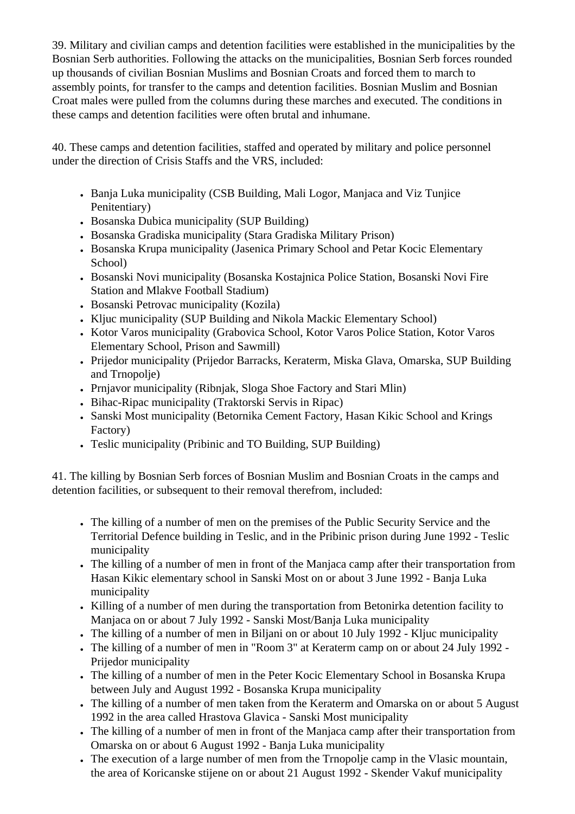39. Military and civilian camps and detention facilities were established in the municipalities by the Bosnian Serb authorities. Following the attacks on the municipalities, Bosnian Serb forces rounded up thousands of civilian Bosnian Muslims and Bosnian Croats and forced them to march to assembly points, for transfer to the camps and detention facilities. Bosnian Muslim and Bosnian Croat males were pulled from the columns during these marches and executed. The conditions in these camps and detention facilities were often brutal and inhumane.

40. These camps and detention facilities, staffed and operated by military and police personnel under the direction of Crisis Staffs and the VRS, included:

- Banja Luka municipality (CSB Building, Mali Logor, Manjaca and Viz Tunjice Penitentiary)
- Bosanska Dubica municipality (SUP Building)
- Bosanska Gradiska municipality (Stara Gradiska Military Prison)
- Bosanska Krupa municipality (Jasenica Primary School and Petar Kocic Elementary School)
- Bosanski Novi municipality (Bosanska Kostajnica Police Station, Bosanski Novi Fire Station and Mlakve Football Stadium)
- Bosanski Petrovac municipality (Kozila)
- Kljuc municipality (SUP Building and Nikola Mackic Elementary School)
- Kotor Varos municipality (Grabovica School, Kotor Varos Police Station, Kotor Varos Elementary School, Prison and Sawmill)
- Prijedor municipality (Prijedor Barracks, Keraterm, Miska Glava, Omarska, SUP Building and Trnopolje)
- Prnjavor municipality (Ribnjak, Sloga Shoe Factory and Stari Mlin)
- Bihac-Ripac municipality (Traktorski Servis in Ripac)
- Sanski Most municipality (Betornika Cement Factory, Hasan Kikic School and Krings Factory)
- Teslic municipality (Pribinic and TO Building, SUP Building)

41. The killing by Bosnian Serb forces of Bosnian Muslim and Bosnian Croats in the camps and detention facilities, or subsequent to their removal therefrom, included:

- The killing of a number of men on the premises of the Public Security Service and the Territorial Defence building in Teslic, and in the Pribinic prison during June 1992 - Teslic municipality
- The killing of a number of men in front of the Manjaca camp after their transportation from Hasan Kikic elementary school in Sanski Most on or about 3 June 1992 - Banja Luka municipality
- Killing of a number of men during the transportation from Betonirka detention facility to Manjaca on or about 7 July 1992 - Sanski Most/Banja Luka municipality
- The killing of a number of men in Biljani on or about 10 July 1992 Kljuc municipality
- The killing of a number of men in "Room 3" at Keraterm camp on or about 24 July 1992 Prijedor municipality
- The killing of a number of men in the Peter Kocic Elementary School in Bosanska Krupa between July and August 1992 - Bosanska Krupa municipality
- The killing of a number of men taken from the Keraterm and Omarska on or about 5 August 1992 in the area called Hrastova Glavica - Sanski Most municipality
- The killing of a number of men in front of the Manjaca camp after their transportation from Omarska on or about 6 August 1992 - Banja Luka municipality
- The execution of a large number of men from the Trnopolie camp in the Vlasic mountain, the area of Koricanske stijene on or about 21 August 1992 - Skender Vakuf municipality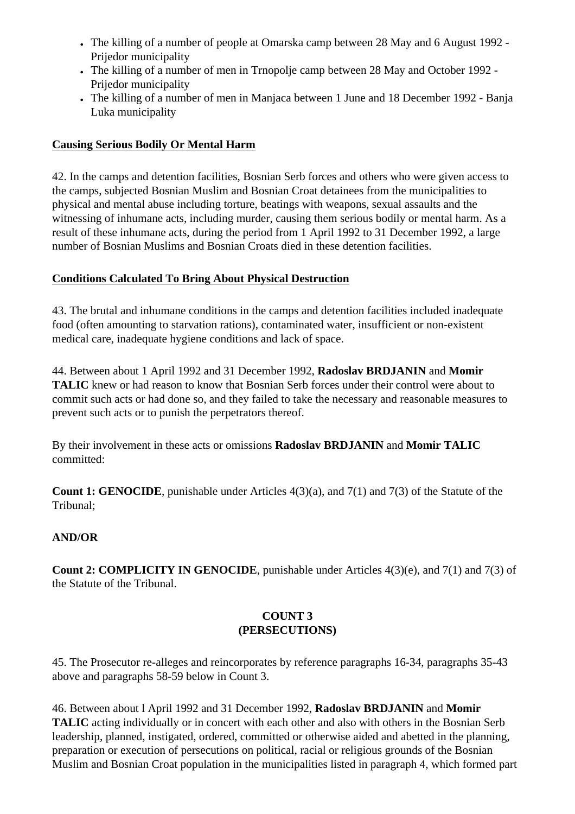- The killing of a number of people at Omarska camp between 28 May and 6 August 1992 -Prijedor municipality
- The killing of a number of men in Trnopolie camp between 28 May and October 1992 -Prijedor municipality
- The killing of a number of men in Manjaca between 1 June and 18 December 1992 Banja Luka municipality

# **Causing Serious Bodily Or Mental Harm**

42. In the camps and detention facilities, Bosnian Serb forces and others who were given access to the camps, subjected Bosnian Muslim and Bosnian Croat detainees from the municipalities to physical and mental abuse including torture, beatings with weapons, sexual assaults and the witnessing of inhumane acts, including murder, causing them serious bodily or mental harm. As a result of these inhumane acts, during the period from 1 April 1992 to 31 December 1992, a large number of Bosnian Muslims and Bosnian Croats died in these detention facilities.

# **Conditions Calculated To Bring About Physical Destruction**

43. The brutal and inhumane conditions in the camps and detention facilities included inadequate food (often amounting to starvation rations), contaminated water, insufficient or non-existent medical care, inadequate hygiene conditions and lack of space.

44. Between about 1 April 1992 and 31 December 1992, **Radoslav BRDJANIN** and **Momir TALIC** knew or had reason to know that Bosnian Serb forces under their control were about to commit such acts or had done so, and they failed to take the necessary and reasonable measures to prevent such acts or to punish the perpetrators thereof.

By their involvement in these acts or omissions **Radoslav BRDJANIN** and **Momir TALIC** committed:

**Count 1: GENOCIDE**, punishable under Articles 4(3)(a), and 7(1) and 7(3) of the Statute of the Tribunal;

# **AND/OR**

**Count 2: COMPLICITY IN GENOCIDE**, punishable under Articles 4(3)(e), and 7(1) and 7(3) of the Statute of the Tribunal.

# **COUNT 3 (PERSECUTIONS)**

45. The Prosecutor re-alleges and reincorporates by reference paragraphs 16-34, paragraphs 35-43 above and paragraphs 58-59 below in Count 3.

46. Between about l April 1992 and 31 December 1992, **Radoslav BRDJANIN** and **Momir TALIC** acting individually or in concert with each other and also with others in the Bosnian Serb leadership, planned, instigated, ordered, committed or otherwise aided and abetted in the planning, preparation or execution of persecutions on political, racial or religious grounds of the Bosnian Muslim and Bosnian Croat population in the municipalities listed in paragraph 4, which formed part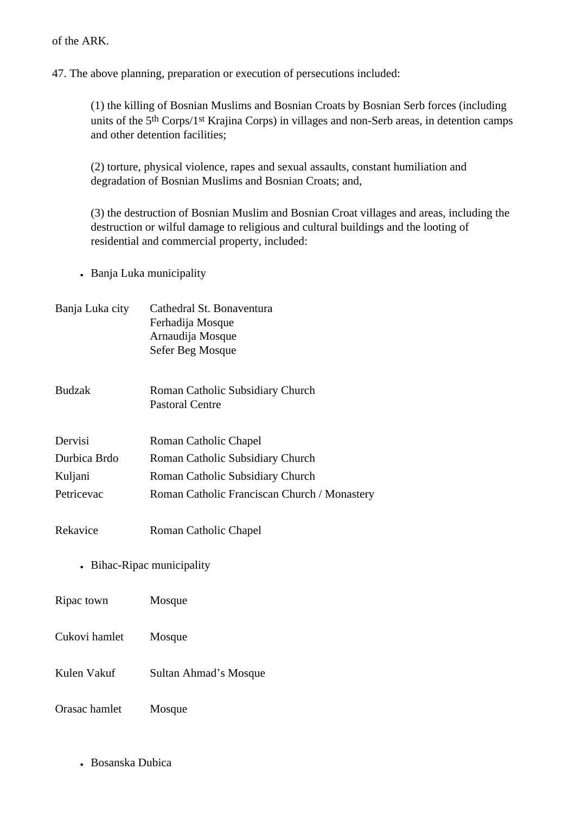of the ARK.

47. The above planning, preparation or execution of persecutions included:

(1) the killing of Bosnian Muslims and Bosnian Croats by Bosnian Serb forces (including units of the 5<sup>th</sup> Corps/1<sup>st</sup> Krajina Corps) in villages and non-Serb areas, in detention camps and other detention facilities;

(2) torture, physical violence, rapes and sexual assaults, constant humiliation and degradation of Bosnian Muslims and Bosnian Croats; and,

(3) the destruction of Bosnian Muslim and Bosnian Croat villages and areas, including the destruction or wilful damage to religious and cultural buildings and the looting of residential and commercial property, included:

- Banja Luka municipality
- Banja Luka city Cathedral St. Bonaventura Ferhadija Mosque Arnaudija Mosque Sefer Beg Mosque
- Budzak Roman Catholic Subsidiary Church Pastoral Centre
- Dervisi Roman Catholic Chapel Durbica Brdo Roman Catholic Subsidiary Church
- Kuljani Roman Catholic Subsidiary Church
- Petricevac Roman Catholic Franciscan Church / Monastery
- Rekavice Roman Catholic Chapel
	- Bihac-Ripac municipality

Ripac town Mosque

- Cukovi hamlet Mosque
- Kulen Vakuf Sultan Ahmad's Mosque
- Orasac hamlet Mosque
	- Bosanska Dubica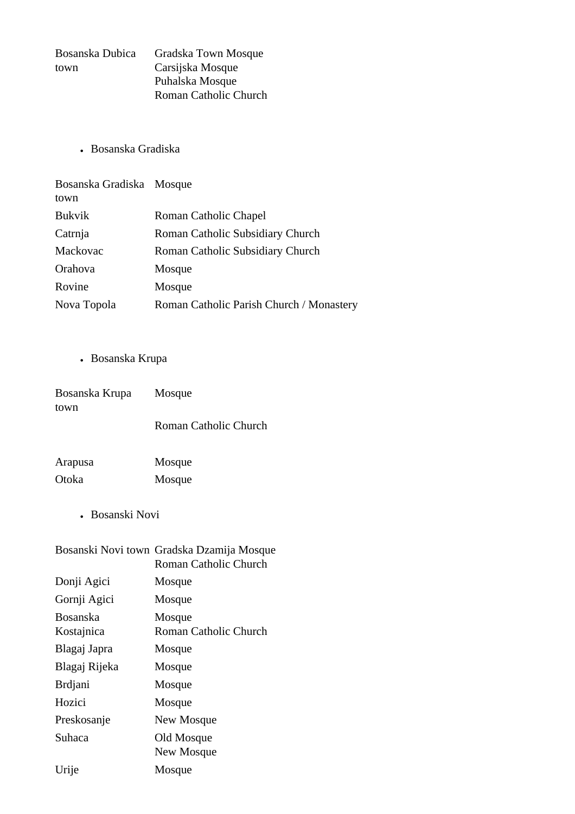| Bosanska Dubica | Gradska Town Mosque   |
|-----------------|-----------------------|
| town            | Carsijska Mosque      |
|                 | Puhalska Mosque       |
|                 | Roman Catholic Church |

• Bosanska Gradiska

| Bosanska Gradiska Mosque<br>town |                                          |
|----------------------------------|------------------------------------------|
| <b>Bukvik</b>                    | Roman Catholic Chapel                    |
| Catrnja                          | Roman Catholic Subsidiary Church         |
| Mackovac                         | Roman Catholic Subsidiary Church         |
| Orahova                          | Mosque                                   |
| Rovine                           | Mosque                                   |
| Nova Topola                      | Roman Catholic Parish Church / Monastery |

• Bosanska Krupa

| Bosanska Krupa<br>town | Mosque                |
|------------------------|-----------------------|
|                        | Roman Catholic Church |
| Arapusa                | Mosque                |
| Otoka                  | Mosque                |

• Bosanski Novi

|                | Bosanski Novi town Gradska Dzamija Mosque |
|----------------|-------------------------------------------|
|                | Roman Catholic Church                     |
| Donji Agici    | Mosque                                    |
| Gornji Agici   | Mosque                                    |
| Bosanska       | Mosque                                    |
| Kostajnica     | <b>Roman Catholic Church</b>              |
| Blagaj Japra   | Mosque                                    |
| Blagaj Rijeka  | Mosque                                    |
| <b>Brdjani</b> | Mosque                                    |
| Hozici         | Mosque                                    |
| Preskosanje    | New Mosque                                |
| Suhaca         | Old Mosque                                |
|                | New Mosque                                |
| Urije          | Mosque                                    |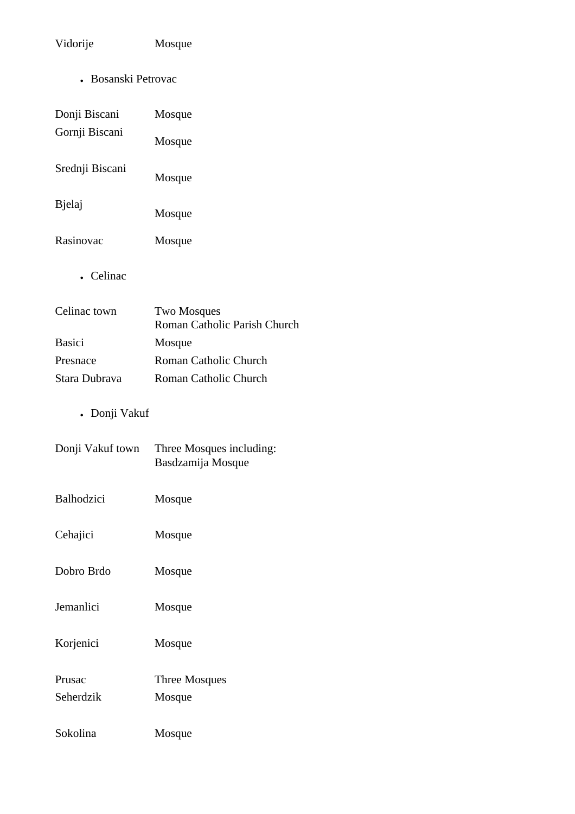# Vidorije Mosque

• Bosanski Petrovac

| Donji Biscani   | Mosque |
|-----------------|--------|
| Gornji Biscani  | Mosque |
| Srednji Biscani | Mosque |
| Bjelaj          | Mosque |
| Rasinovac       | Mosque |

• Celinac

| Two Mosques<br>Roman Catholic Parish Church |
|---------------------------------------------|
| Mosque                                      |
| Roman Catholic Church                       |
| Roman Catholic Church                       |
|                                             |

• Donji Vakuf

| Donji Vakuf town  | Three Mosques including:<br>Basdzamija Mosque |
|-------------------|-----------------------------------------------|
| <b>Balhodzici</b> | Mosque                                        |
| Cehajici          | Mosque                                        |
| Dobro Brdo        | Mosque                                        |
| Jemanlici         | Mosque                                        |
| Korjenici         | Mosque                                        |
| Prusac            | Three Mosques                                 |
| Seherdzik         | Mosque                                        |
| Sokolina          | Mosque                                        |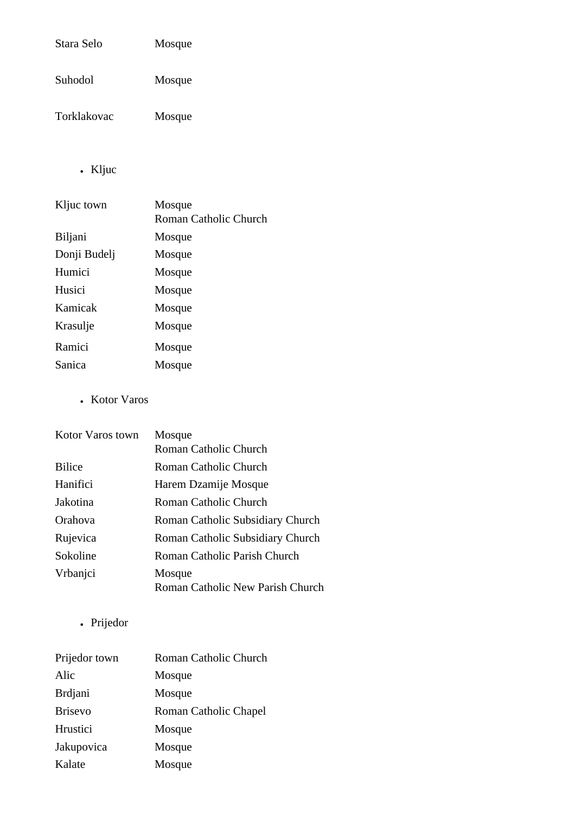| Stara Selo  | Mosque |
|-------------|--------|
| Suhodol     | Mosque |
| Torklakovac | Mosque |

• Kljuc

| Kljuc town   | Mosque<br>Roman Catholic Church |
|--------------|---------------------------------|
| Biljani      | Mosque                          |
| Donji Budelj | Mosque                          |
| Humici       | Mosque                          |
| Husici       | Mosque                          |
| Kamicak      | Mosque                          |
| Krasulje     | Mosque                          |
| Ramici       | Mosque                          |
| Sanica       | Mosque                          |

• Kotor Varos

| Kotor Varos town | Mosque                                     |
|------------------|--------------------------------------------|
|                  | Roman Catholic Church                      |
| <b>Bilice</b>    | Roman Catholic Church                      |
| Hanifici         | Harem Dzamije Mosque                       |
| Jakotina         | Roman Catholic Church                      |
| Orahova          | Roman Catholic Subsidiary Church           |
| Rujevica         | Roman Catholic Subsidiary Church           |
| Sokoline         | Roman Catholic Parish Church               |
| Vrbanjci         | Mosque<br>Roman Catholic New Parish Church |

• Prijedor

| Prijedor town  | Roman Catholic Church |
|----------------|-----------------------|
| Alic           | Mosque                |
| <b>Brdjani</b> | Mosque                |
| <b>Brisevo</b> | Roman Catholic Chapel |
| Hrustici       | Mosque                |
| Jakupovica     | Mosque                |
| Kalate         | Mosque                |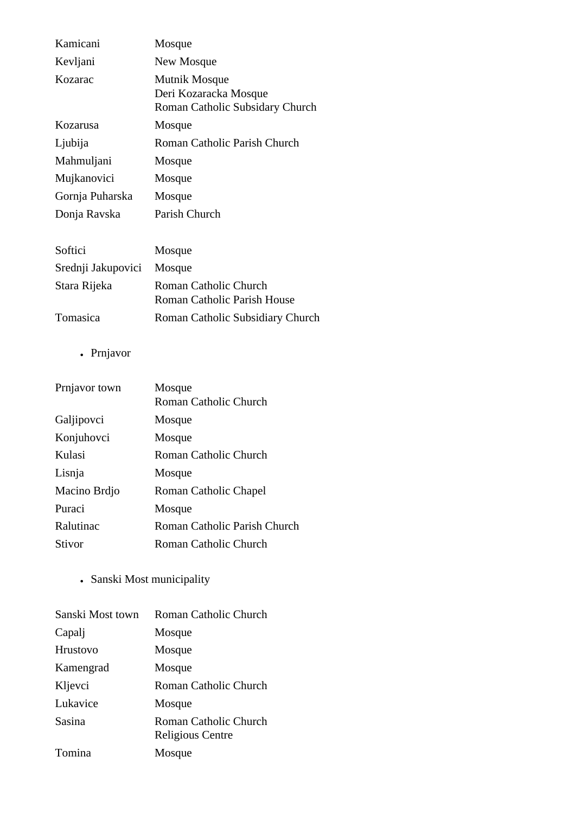| Kamicani           | Mosque                                                                    |
|--------------------|---------------------------------------------------------------------------|
| Kevljani           | New Mosque                                                                |
| Kozarac            | Mutnik Mosque<br>Deri Kozaracka Mosque<br>Roman Catholic Subsidary Church |
| Kozarusa           | Mosque                                                                    |
| Ljubija            | Roman Catholic Parish Church                                              |
| Mahmuljani         | Mosque                                                                    |
| Mujkanovici        | Mosque                                                                    |
| Gornja Puharska    | Mosque                                                                    |
| Donja Ravska       | Parish Church                                                             |
| Softici            | Mosque                                                                    |
| Srednji Jakupovici | Mosque                                                                    |
| Stara Rijeka       | <b>Roman Catholic Church</b><br>Roman Catholic Parish House               |
| Tomasica           | Roman Catholic Subsidiary Church                                          |

• Prnjavor

| Prnjavor town | Mosque<br>Roman Catholic Church     |
|---------------|-------------------------------------|
| Galjipovci    | Mosque                              |
| Konjuhovci    | Mosque                              |
| Kulasi        | <b>Roman Catholic Church</b>        |
| Lisnja        | Mosque                              |
| Macino Brdjo  | Roman Catholic Chapel               |
| Puraci        | Mosque                              |
| Ralutinac     | <b>Roman Catholic Parish Church</b> |
| Stivor        | Roman Catholic Church               |
|               |                                     |

• Sanski Most municipality

| Sanski Most town | Roman Catholic Church                     |
|------------------|-------------------------------------------|
| Capalj           | Mosque                                    |
| Hrustovo         | Mosque                                    |
| Kamengrad        | Mosque                                    |
| Kljevci          | Roman Catholic Church                     |
| Lukavice         | Mosque                                    |
| Sasina           | Roman Catholic Church<br>Religious Centre |
| Tomina           | Mosque                                    |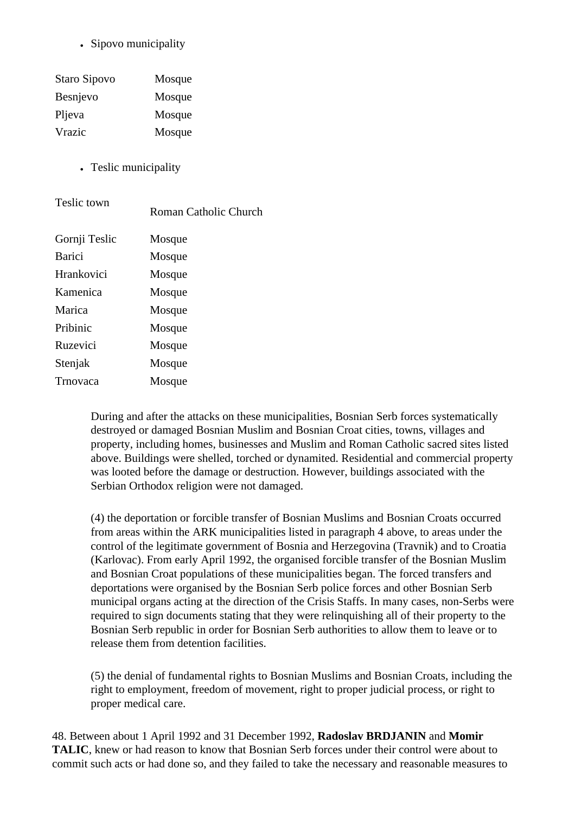• Sipovo municipality

| Staro Sipovo    | Mosque |
|-----------------|--------|
| <b>Besnievo</b> | Mosque |
| Pljeva          | Mosque |
| Vrazic          | Mosque |

• Teslic municipality

| Teslic town   | Roman Catholic Church |
|---------------|-----------------------|
| Gornji Teslic | Mosque                |
| Barici        | Mosque                |
| Hrankovici    | Mosque                |
| Kamenica      | Mosque                |
| Marica        | Mosque                |
| Pribinic      | Mosque                |
| Ruzevici      | Mosque                |
| Stenjak       | Mosque                |
| Trnovaca      | Mosque                |

During and after the attacks on these municipalities, Bosnian Serb forces systematically destroyed or damaged Bosnian Muslim and Bosnian Croat cities, towns, villages and property, including homes, businesses and Muslim and Roman Catholic sacred sites listed above. Buildings were shelled, torched or dynamited. Residential and commercial property was looted before the damage or destruction. However, buildings associated with the Serbian Orthodox religion were not damaged.

(4) the deportation or forcible transfer of Bosnian Muslims and Bosnian Croats occurred from areas within the ARK municipalities listed in paragraph 4 above, to areas under the control of the legitimate government of Bosnia and Herzegovina (Travnik) and to Croatia (Karlovac). From early April 1992, the organised forcible transfer of the Bosnian Muslim and Bosnian Croat populations of these municipalities began. The forced transfers and deportations were organised by the Bosnian Serb police forces and other Bosnian Serb municipal organs acting at the direction of the Crisis Staffs. In many cases, non-Serbs were required to sign documents stating that they were relinquishing all of their property to the Bosnian Serb republic in order for Bosnian Serb authorities to allow them to leave or to release them from detention facilities.

(5) the denial of fundamental rights to Bosnian Muslims and Bosnian Croats, including the right to employment, freedom of movement, right to proper judicial process, or right to proper medical care.

48. Between about 1 April 1992 and 31 December 1992, **Radoslav BRDJANIN** and **Momir TALIC**, knew or had reason to know that Bosnian Serb forces under their control were about to commit such acts or had done so, and they failed to take the necessary and reasonable measures to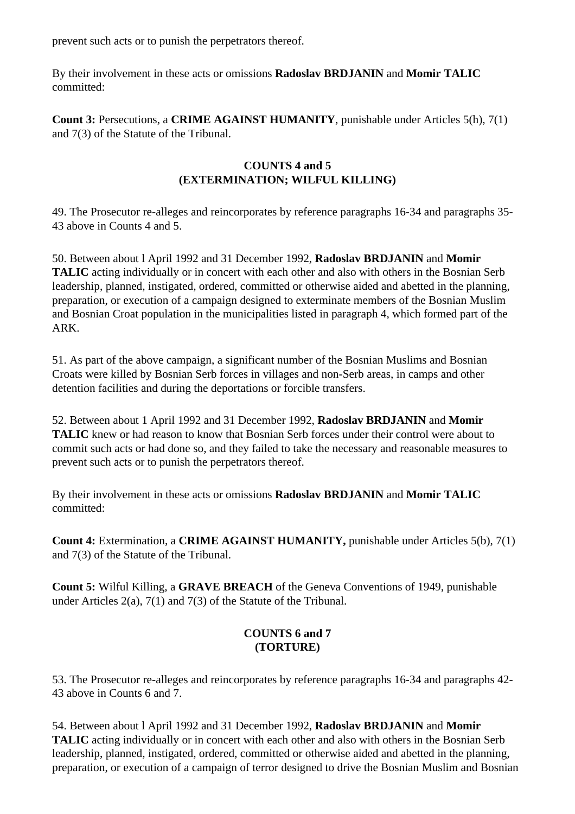prevent such acts or to punish the perpetrators thereof.

By their involvement in these acts or omissions **Radoslav BRDJANIN** and **Momir TALIC** committed:

**Count 3:** Persecutions, a **CRIME AGAINST HUMANITY**, punishable under Articles 5(h), 7(1) and 7(3) of the Statute of the Tribunal.

# **COUNTS 4 and 5 (EXTERMINATION; WILFUL KILLING)**

49. The Prosecutor re-alleges and reincorporates by reference paragraphs 16-34 and paragraphs 35- 43 above in Counts 4 and 5.

50. Between about l April 1992 and 31 December 1992, **Radoslav BRDJANIN** and **Momir TALIC** acting individually or in concert with each other and also with others in the Bosnian Serb leadership, planned, instigated, ordered, committed or otherwise aided and abetted in the planning, preparation, or execution of a campaign designed to exterminate members of the Bosnian Muslim and Bosnian Croat population in the municipalities listed in paragraph 4, which formed part of the ARK.

51. As part of the above campaign, a significant number of the Bosnian Muslims and Bosnian Croats were killed by Bosnian Serb forces in villages and non-Serb areas, in camps and other detention facilities and during the deportations or forcible transfers.

52. Between about 1 April 1992 and 31 December 1992, **Radoslav BRDJANIN** and **Momir TALIC** knew or had reason to know that Bosnian Serb forces under their control were about to commit such acts or had done so, and they failed to take the necessary and reasonable measures to prevent such acts or to punish the perpetrators thereof.

By their involvement in these acts or omissions **Radoslav BRDJANIN** and **Momir TALIC** committed:

**Count 4:** Extermination, a **CRIME AGAINST HUMANITY,** punishable under Articles 5(b), 7(1) and 7(3) of the Statute of the Tribunal.

**Count 5:** Wilful Killing, a **GRAVE BREACH** of the Geneva Conventions of 1949, punishable under Articles 2(a), 7(1) and 7(3) of the Statute of the Tribunal.

# **COUNTS 6 and 7 (TORTURE)**

53. The Prosecutor re-alleges and reincorporates by reference paragraphs 16-34 and paragraphs 42- 43 above in Counts 6 and 7.

54. Between about l April 1992 and 31 December 1992, **Radoslav BRDJANIN** and **Momir TALIC** acting individually or in concert with each other and also with others in the Bosnian Serb leadership, planned, instigated, ordered, committed or otherwise aided and abetted in the planning, preparation, or execution of a campaign of terror designed to drive the Bosnian Muslim and Bosnian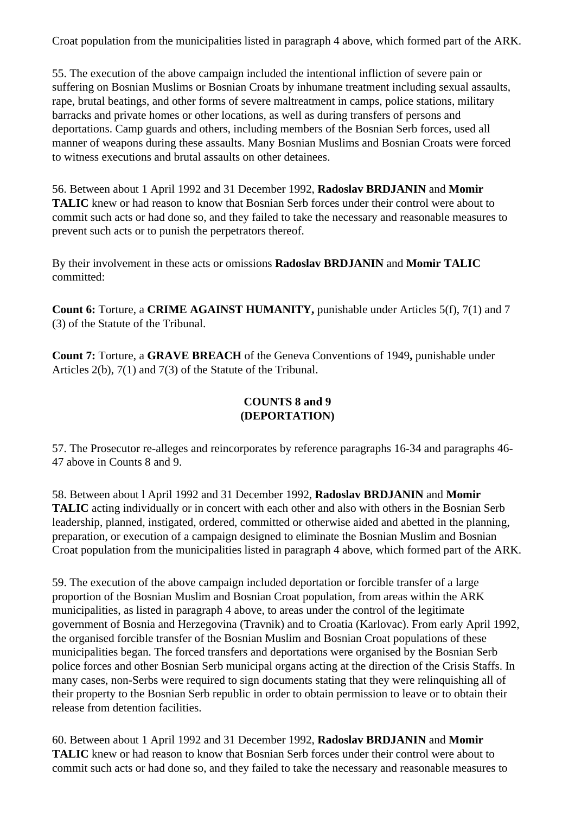Croat population from the municipalities listed in paragraph 4 above, which formed part of the ARK.

55. The execution of the above campaign included the intentional infliction of severe pain or suffering on Bosnian Muslims or Bosnian Croats by inhumane treatment including sexual assaults, rape, brutal beatings, and other forms of severe maltreatment in camps, police stations, military barracks and private homes or other locations, as well as during transfers of persons and deportations. Camp guards and others, including members of the Bosnian Serb forces, used all manner of weapons during these assaults. Many Bosnian Muslims and Bosnian Croats were forced to witness executions and brutal assaults on other detainees.

56. Between about 1 April 1992 and 31 December 1992, **Radoslav BRDJANIN** and **Momir TALIC** knew or had reason to know that Bosnian Serb forces under their control were about to commit such acts or had done so, and they failed to take the necessary and reasonable measures to prevent such acts or to punish the perpetrators thereof.

By their involvement in these acts or omissions **Radoslav BRDJANIN** and **Momir TALIC** committed:

**Count 6:** Torture, a **CRIME AGAINST HUMANITY,** punishable under Articles 5(f), 7(1) and 7 (3) of the Statute of the Tribunal.

**Count 7:** Torture, a **GRAVE BREACH** of the Geneva Conventions of 1949**,** punishable under Articles 2(b), 7(1) and 7(3) of the Statute of the Tribunal.

# **COUNTS 8 and 9 (DEPORTATION)**

57. The Prosecutor re-alleges and reincorporates by reference paragraphs 16-34 and paragraphs 46- 47 above in Counts 8 and 9.

58. Between about l April 1992 and 31 December 1992, **Radoslav BRDJANIN** and **Momir TALIC** acting individually or in concert with each other and also with others in the Bosnian Serb leadership, planned, instigated, ordered, committed or otherwise aided and abetted in the planning, preparation, or execution of a campaign designed to eliminate the Bosnian Muslim and Bosnian Croat population from the municipalities listed in paragraph 4 above, which formed part of the ARK.

59. The execution of the above campaign included deportation or forcible transfer of a large proportion of the Bosnian Muslim and Bosnian Croat population, from areas within the ARK municipalities, as listed in paragraph 4 above, to areas under the control of the legitimate government of Bosnia and Herzegovina (Travnik) and to Croatia (Karlovac). From early April 1992, the organised forcible transfer of the Bosnian Muslim and Bosnian Croat populations of these municipalities began. The forced transfers and deportations were organised by the Bosnian Serb police forces and other Bosnian Serb municipal organs acting at the direction of the Crisis Staffs. In many cases, non-Serbs were required to sign documents stating that they were relinquishing all of their property to the Bosnian Serb republic in order to obtain permission to leave or to obtain their release from detention facilities.

60. Between about 1 April 1992 and 31 December 1992, **Radoslav BRDJANIN** and **Momir TALIC** knew or had reason to know that Bosnian Serb forces under their control were about to commit such acts or had done so, and they failed to take the necessary and reasonable measures to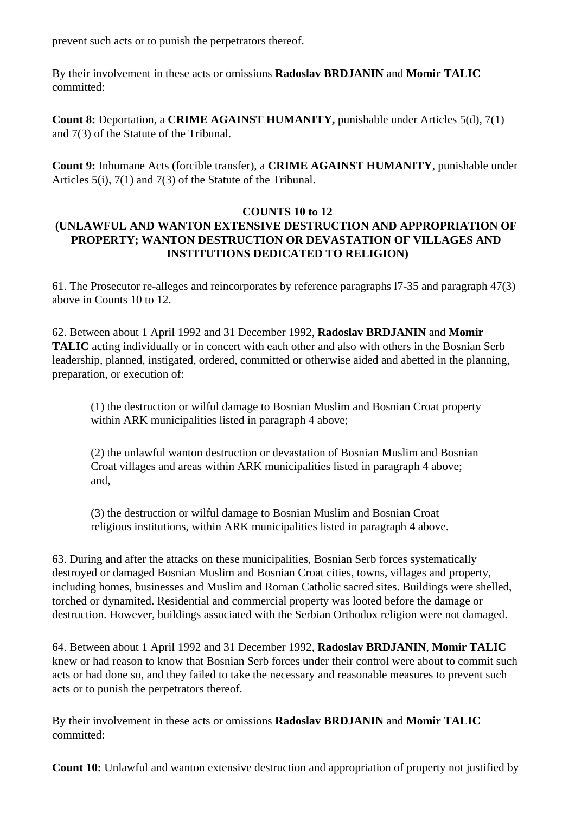prevent such acts or to punish the perpetrators thereof.

By their involvement in these acts or omissions **Radoslav BRDJANIN** and **Momir TALIC** committed:

**Count 8:** Deportation, a **CRIME AGAINST HUMANITY,** punishable under Articles 5(d), 7(1) and 7(3) of the Statute of the Tribunal.

**Count 9:** Inhumane Acts (forcible transfer), a **CRIME AGAINST HUMANITY**, punishable under Articles 5(i), 7(1) and 7(3) of the Statute of the Tribunal.

## **COUNTS 10 to 12 (UNLAWFUL AND WANTON EXTENSIVE DESTRUCTION AND APPROPRIATION OF PROPERTY; WANTON DESTRUCTION OR DEVASTATION OF VILLAGES AND INSTITUTIONS DEDICATED TO RELIGION)**

61. The Prosecutor re-alleges and reincorporates by reference paragraphs l7-35 and paragraph 47(3) above in Counts 10 to 12.

62. Between about 1 April 1992 and 31 December 1992, **Radoslav BRDJANIN** and **Momir TALIC** acting individually or in concert with each other and also with others in the Bosnian Serb leadership, planned, instigated, ordered, committed or otherwise aided and abetted in the planning, preparation, or execution of:

(1) the destruction or wilful damage to Bosnian Muslim and Bosnian Croat property within ARK municipalities listed in paragraph 4 above:

(2) the unlawful wanton destruction or devastation of Bosnian Muslim and Bosnian Croat villages and areas within ARK municipalities listed in paragraph 4 above; and,

(3) the destruction or wilful damage to Bosnian Muslim and Bosnian Croat religious institutions, within ARK municipalities listed in paragraph 4 above.

63. During and after the attacks on these municipalities, Bosnian Serb forces systematically destroyed or damaged Bosnian Muslim and Bosnian Croat cities, towns, villages and property, including homes, businesses and Muslim and Roman Catholic sacred sites. Buildings were shelled, torched or dynamited. Residential and commercial property was looted before the damage or destruction. However, buildings associated with the Serbian Orthodox religion were not damaged.

64. Between about 1 April 1992 and 31 December 1992, **Radoslav BRDJANIN**, **Momir TALIC** knew or had reason to know that Bosnian Serb forces under their control were about to commit such acts or had done so, and they failed to take the necessary and reasonable measures to prevent such acts or to punish the perpetrators thereof.

By their involvement in these acts or omissions **Radoslav BRDJANIN** and **Momir TALIC** committed:

**Count 10:** Unlawful and wanton extensive destruction and appropriation of property not justified by